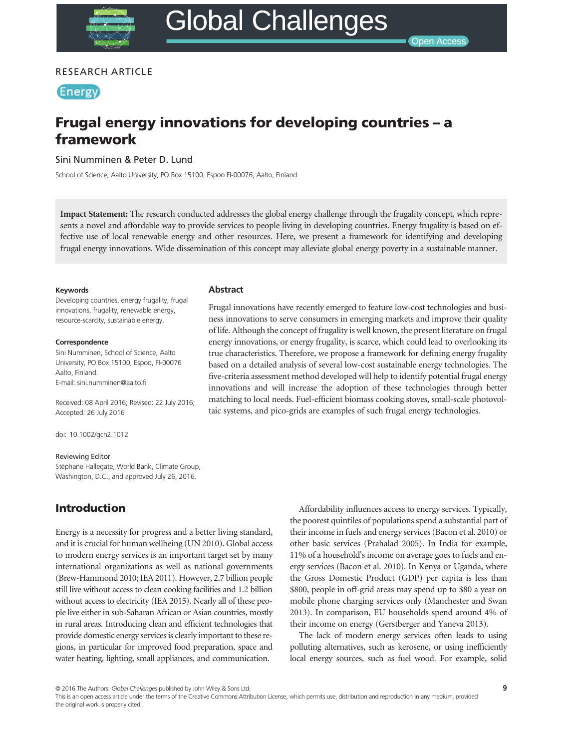## RESEARCH ARTICLE

**Energy** 

# Frugal energy innovations for developing countries – a framework

Sini Numminen & Peter D. Lund

School of Science, Aalto University, PO Box 15100, Espoo FI-00076, Aalto, Finland

Impact Statement: The research conducted addresses the global energy challenge through the frugality concept, which represents a novel and affordable way to provide services to people living in developing countries. Energy frugality is based on effective use of local renewable energy and other resources. Here, we present a framework for identifying and developing frugal energy innovations. Wide dissemination of this concept may alleviate global energy poverty in a sustainable manner.

#### Keywords

Developing countries, energy frugality, frugal innovations, frugality, renewable energy, resource-scarcity, sustainable energy.

#### **Correspondence**

Sini Numminen, School of Science, Aalto University, PO Box 15100, Espoo, FI-00076 Aalto, Finland. E-mail: sini.numminen@aalto.fi

Received: 08 April 2016; Revised: 22 July 2016; Accepted: 26 July 2016

doi: 10.1002/gch2.1012

#### Reviewing Editor

Stéphane Hallegate, World Bank, Climate Group, Washington, D.C., and approved July 26, 2016.

## Introduction

Energy is a necessity for progress and a better living standard, and it is crucial for human wellbeing (UN 2010). Global access to modern energy services is an important target set by many international organizations as well as national governments (Brew-Hammond 2010; IEA 2011). However, 2.7 billion people still live without access to clean cooking facilities and 1.2 billion without access to electricity (IEA 2015). Nearly all of these people live either in sub-Saharan African or Asian countries, mostly in rural areas. Introducing clean and efficient technologies that provide domestic energy services is clearly important to these regions, in particular for improved food preparation, space and water heating, lighting, small appliances, and communication.

Abstract

Frugal innovations have recently emerged to feature low-cost technologies and business innovations to serve consumers in emerging markets and improve their quality of life. Although the concept of frugality is well known, the present literature on frugal energy innovations, or energy frugality, is scarce, which could lead to overlooking its true characteristics. Therefore, we propose a framework for defining energy frugality based on a detailed analysis of several low-cost sustainable energy technologies. The five-criteria assessment method developed will help to identify potential frugal energy innovations and will increase the adoption of these technologies through better matching to local needs. Fuel-efficient biomass cooking stoves, small-scale photovoltaic systems, and pico-grids are examples of such frugal energy technologies.

> Affordability influences access to energy services. Typically, the poorest quintiles of populations spend a substantial part of their income in fuels and energy services (Bacon et al. 2010) or other basic services (Prahalad 2005). In India for example, 11% of a household's income on average goes to fuels and energy services (Bacon et al. 2010). In Kenya or Uganda, where the Gross Domestic Product (GDP) per capita is less than \$800, people in off-grid areas may spend up to \$80 a year on mobile phone charging services only (Manchester and Swan 2013). In comparison, EU households spend around 4% of their income on energy (Gerstberger and Yaneva 2013).

> The lack of modern energy services often leads to using polluting alternatives, such as kerosene, or using inefficiently local energy sources, such as fuel wood. For example, solid

© 2016 The Authors. Glo*bal Challenges* published by John Wiley & Sons Ltd.<br>This is an open access article under the terms of the [Creative Commons Attribution](http://creativecommons.org/licenses/by/4.0/) License, which permits use, distribution and reproduction in an the original work is properly cited.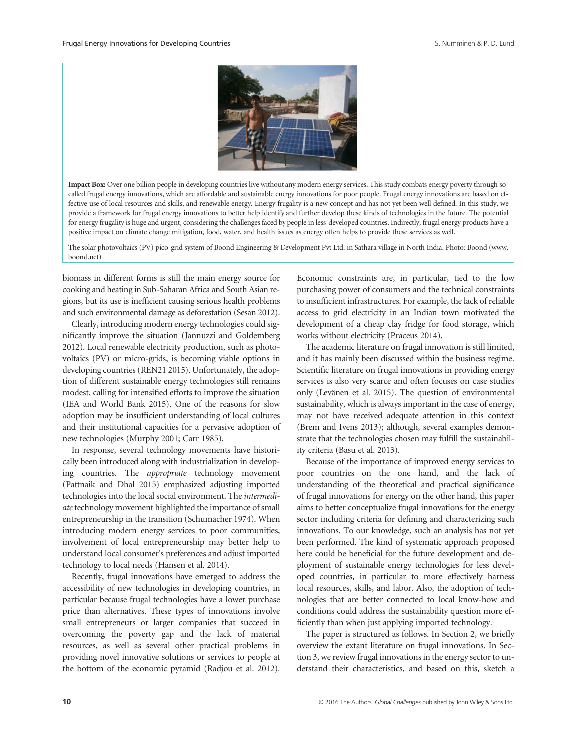

Impact Box: Over one billion people in developing countries live without any modern energy services. This study combats energy poverty through socalled frugal energy innovations, which are affordable and sustainable energy innovations for poor people. Frugal energy innovations are based on effective use of local resources and skills, and renewable energy. Energy frugality is a new concept and has not yet been well defined. In this study, we provide a framework for frugal energy innovations to better help identify and further develop these kinds of technologies in the future. The potential for energy frugality is huge and urgent, considering the challenges faced by people in less-developed countries. Indirectly, frugal energy products have a positive impact on climate change mitigation, food, water, and health issues as energy often helps to provide these services as well.

The solar photovoltaics (PV) pico-grid system of Boond Engineering & Development Pvt Ltd. in Sathara village in North India. Photo: Boond (www. boond.net)

biomass in different forms is still the main energy source for cooking and heating in Sub-Saharan Africa and South Asian regions, but its use is inefficient causing serious health problems and such environmental damage as deforestation (Sesan 2012).

Clearly, introducing modern energy technologies could significantly improve the situation (Jannuzzi and Goldemberg 2012). Local renewable electricity production, such as photovoltaics (PV) or micro-grids, is becoming viable options in developing countries (REN21 2015). Unfortunately, the adoption of different sustainable energy technologies still remains modest, calling for intensified efforts to improve the situation (IEA and World Bank 2015). One of the reasons for slow adoption may be insufficient understanding of local cultures and their institutional capacities for a pervasive adoption of new technologies (Murphy 2001; Carr 1985).

In response, several technology movements have historically been introduced along with industrialization in developing countries. The appropriate technology movement (Pattnaik and Dhal 2015) emphasized adjusting imported technologies into the local social environment. The intermediate technology movement highlighted the importance of small entrepreneurship in the transition (Schumacher 1974). When introducing modern energy services to poor communities, involvement of local entrepreneurship may better help to understand local consumer's preferences and adjust imported technology to local needs (Hansen et al. 2014).

Recently, frugal innovations have emerged to address the accessibility of new technologies in developing countries, in particular because frugal technologies have a lower purchase price than alternatives. These types of innovations involve small entrepreneurs or larger companies that succeed in overcoming the poverty gap and the lack of material resources, as well as several other practical problems in providing novel innovative solutions or services to people at the bottom of the economic pyramid (Radjou et al. 2012).

Economic constraints are, in particular, tied to the low purchasing power of consumers and the technical constraints to insufficient infrastructures. For example, the lack of reliable access to grid electricity in an Indian town motivated the development of a cheap clay fridge for food storage, which works without electricity (Praceus 2014).

The academic literature on frugal innovation is still limited, and it has mainly been discussed within the business regime. Scientific literature on frugal innovations in providing energy services is also very scarce and often focuses on case studies only (Levänen et al. 2015). The question of environmental sustainability, which is always important in the case of energy, may not have received adequate attention in this context (Brem and Ivens 2013); although, several examples demonstrate that the technologies chosen may fulfill the sustainability criteria (Basu et al. 2013).

Because of the importance of improved energy services to poor countries on the one hand, and the lack of understanding of the theoretical and practical significance of frugal innovations for energy on the other hand, this paper aims to better conceptualize frugal innovations for the energy sector including criteria for defining and characterizing such innovations. To our knowledge, such an analysis has not yet been performed. The kind of systematic approach proposed here could be beneficial for the future development and deployment of sustainable energy technologies for less developed countries, in particular to more effectively harness local resources, skills, and labor. Also, the adoption of technologies that are better connected to local know-how and conditions could address the sustainability question more efficiently than when just applying imported technology.

The paper is structured as follows. In Section 2, we briefly overview the extant literature on frugal innovations. In Section 3, we review frugal innovations in the energy sector to understand their characteristics, and based on this, sketch a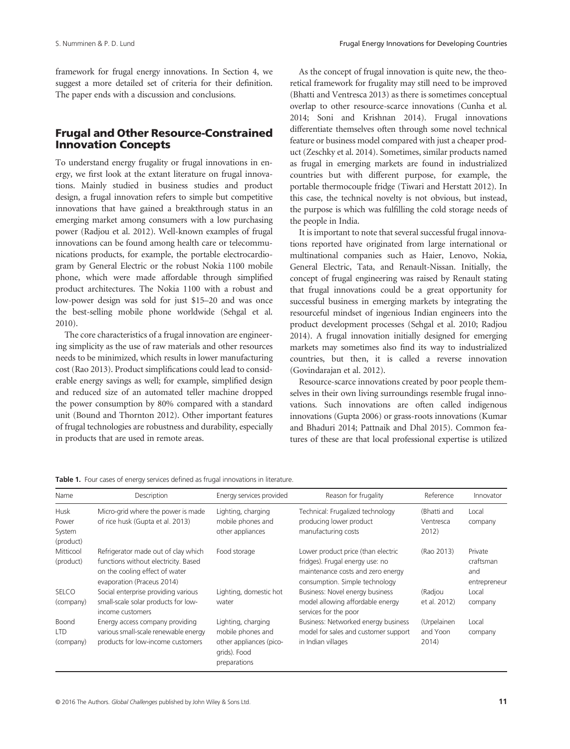framework for frugal energy innovations. In Section 4, we suggest a more detailed set of criteria for their definition. The paper ends with a discussion and conclusions.

# Frugal and Other Resource-Constrained Innovation Concepts

To understand energy frugality or frugal innovations in energy, we first look at the extant literature on frugal innovations. Mainly studied in business studies and product design, a frugal innovation refers to simple but competitive innovations that have gained a breakthrough status in an emerging market among consumers with a low purchasing power (Radjou et al. 2012). Well-known examples of frugal innovations can be found among health care or telecommunications products, for example, the portable electrocardiogram by General Electric or the robust Nokia 1100 mobile phone, which were made affordable through simplified product architectures. The Nokia 1100 with a robust and low-power design was sold for just \$15–20 and was once the best-selling mobile phone worldwide (Sehgal et al. 2010).

The core characteristics of a frugal innovation are engineering simplicity as the use of raw materials and other resources needs to be minimized, which results in lower manufacturing cost (Rao 2013). Product simplifications could lead to considerable energy savings as well; for example, simplified design and reduced size of an automated teller machine dropped the power consumption by 80% compared with a standard unit (Bound and Thornton 2012). Other important features of frugal technologies are robustness and durability, especially in products that are used in remote areas.

As the concept of frugal innovation is quite new, the theoretical framework for frugality may still need to be improved (Bhatti and Ventresca 2013) as there is sometimes conceptual overlap to other resource-scarce innovations (Cunha et al. 2014; Soni and Krishnan 2014). Frugal innovations differentiate themselves often through some novel technical feature or business model compared with just a cheaper product (Zeschky et al. 2014). Sometimes, similar products named as frugal in emerging markets are found in industrialized countries but with different purpose, for example, the portable thermocouple fridge (Tiwari and Herstatt 2012). In this case, the technical novelty is not obvious, but instead, the purpose is which was fulfilling the cold storage needs of the people in India.

It is important to note that several successful frugal innovations reported have originated from large international or multinational companies such as Haier, Lenovo, Nokia, General Electric, Tata, and Renault-Nissan. Initially, the concept of frugal engineering was raised by Renault stating that frugal innovations could be a great opportunity for successful business in emerging markets by integrating the resourceful mindset of ingenious Indian engineers into the product development processes (Sehgal et al. 2010; Radjou 2014). A frugal innovation initially designed for emerging markets may sometimes also find its way to industrialized countries, but then, it is called a reverse innovation (Govindarajan et al. 2012).

Resource-scarce innovations created by poor people themselves in their own living surroundings resemble frugal innovations. Such innovations are often called indigenous innovations (Gupta 2006) or grass-roots innovations (Kumar and Bhaduri 2014; Pattnaik and Dhal 2015). Common features of these are that local professional expertise is utilized

| Name                                        | Description                                                                                                                                 | Energy services provided                                                                           | Reason for frugality                                                                                                                         | Reference                         | Innovator                                   |
|---------------------------------------------|---------------------------------------------------------------------------------------------------------------------------------------------|----------------------------------------------------------------------------------------------------|----------------------------------------------------------------------------------------------------------------------------------------------|-----------------------------------|---------------------------------------------|
| <b>Husk</b><br>Power<br>System<br>(product) | Micro-grid where the power is made<br>of rice husk (Gupta et al. 2013)                                                                      | Lighting, charging<br>mobile phones and<br>other appliances                                        | Technical: Frugalized technology<br>producing lower product<br>manufacturing costs                                                           | (Bhatti and<br>Ventresca<br>2012) | Local<br>company                            |
| Mitticool<br>(product)                      | Refrigerator made out of clay which<br>functions without electricity. Based<br>on the cooling effect of water<br>evaporation (Praceus 2014) | Food storage                                                                                       | Lower product price (than electric<br>fridges). Frugal energy use: no<br>maintenance costs and zero energy<br>consumption. Simple technology | (Rao 2013)                        | Private<br>craftsman<br>and<br>entrepreneur |
| <b>SELCO</b><br>(company)                   | Social enterprise providing various<br>small-scale solar products for low-<br>income customers                                              | Lighting, domestic hot<br>water                                                                    | Business: Novel energy business<br>model allowing affordable energy<br>services for the poor                                                 | (Radjou<br>et al. 2012)           | Local<br>company                            |
| Boond<br><b>LTD</b><br>(company)            | Energy access company providing<br>various small-scale renewable energy<br>products for low-income customers                                | Lighting, charging<br>mobile phones and<br>other appliances (pico-<br>grids). Food<br>preparations | Business: Networked energy business<br>model for sales and customer support<br>in Indian villages                                            | (Urpelainen<br>and Yoon<br>2014)  | Local<br>company                            |

Table 1. Four cases of energy services defined as frugal innovations in literature.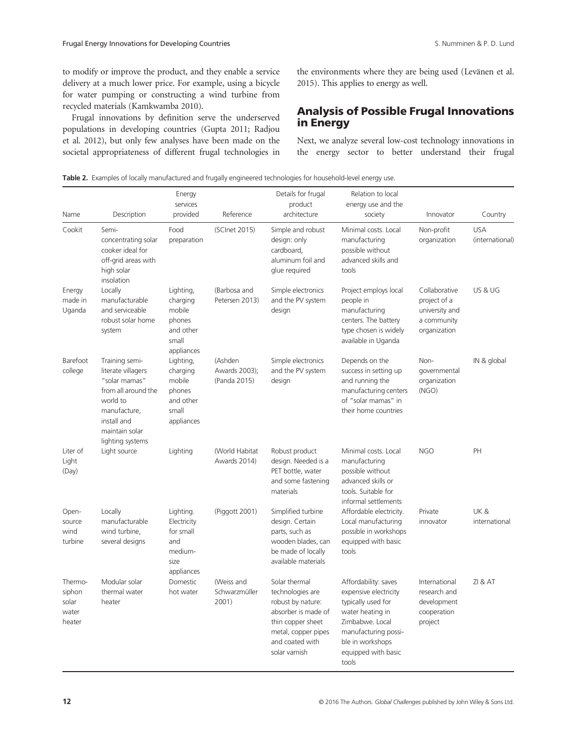to modify or improve the product, and they enable a service delivery at a much lower price. For example, using a bicycle for water pumping or constructing a wind turbine from recycled materials (Kamkwamba 2010).

Frugal innovations by definition serve the underserved populations in developing countries (Gupta 2011; Radjou et al. 2012), but only few analyses have been made on the societal appropriateness of different frugal technologies in the environments where they are being used (Levänen et al. 2015). This applies to energy as well.

## Analysis of Possible Frugal Innovations in Energy

Next, we analyze several low-cost technology innovations in the energy sector to better understand their frugal

| Name                                          | Description                                                                                                                                                   | Energy<br>services<br>provided                                                | Reference                                | Details for frugal<br>product<br>architecture                                                                                                                 | Relation to local<br>energy use and the<br>society                                                                                                                                     | Innovator                                                                      | Country                       |
|-----------------------------------------------|---------------------------------------------------------------------------------------------------------------------------------------------------------------|-------------------------------------------------------------------------------|------------------------------------------|---------------------------------------------------------------------------------------------------------------------------------------------------------------|----------------------------------------------------------------------------------------------------------------------------------------------------------------------------------------|--------------------------------------------------------------------------------|-------------------------------|
| Cookit                                        | Semi-<br>concentrating solar<br>cooker ideal for<br>off-grid areas with<br>high solar<br>insolation                                                           | Food<br>preparation                                                           | (SCInet 2015)                            | Simple and robust<br>design: only<br>cardboard,<br>aluminum foil and<br>glue required                                                                         | Minimal costs. Local<br>manufacturing<br>possible without<br>advanced skills and<br>tools                                                                                              | Non-profit<br>organization                                                     | <b>USA</b><br>(international) |
| Energy<br>made in<br>Uganda                   | Locally<br>manufacturable<br>and serviceable<br>robust solar home<br>system                                                                                   | Lighting,<br>charging<br>mobile<br>phones<br>and other<br>small<br>appliances | (Barbosa and<br>Petersen 2013)           | Simple electronics<br>and the PV system<br>design                                                                                                             | Project employs local<br>people in<br>manufacturing<br>centers. The battery<br>type chosen is widely<br>available in Uganda                                                            | Collaborative<br>project of a<br>university and<br>a community<br>organization | US & UG                       |
| Barefoot<br>college                           | Training semi-<br>literate villagers<br>"solar mamas"<br>from all around the<br>world to<br>manufacture,<br>install and<br>maintain solar<br>lighting systems | Lighting,<br>charging<br>mobile<br>phones<br>and other<br>small<br>appliances | (Ashden<br>Awards 2003);<br>(Panda 2015) | Simple electronics<br>and the PV system<br>design                                                                                                             | Depends on the<br>success in setting up<br>and running the<br>manufacturing centers<br>of "solar mamas" in<br>their home countries                                                     | Non-<br>governmental<br>organization<br>(NGO)                                  | IN & global                   |
| Liter of<br>Light<br>(Day)                    | Light source                                                                                                                                                  | Lighting                                                                      | (World Habitat<br>Awards 2014)           | Robust product<br>design. Needed is a<br>PET bottle, water<br>and some fastening<br>materials                                                                 | Minimal costs. Local<br>manufacturing<br>possible without<br>advanced skills or<br>tools. Suitable for<br>informal settlements                                                         | <b>NGO</b>                                                                     | PH                            |
| Open-<br>source<br>wind<br>turbine            | Locally<br>manufacturable<br>wind turbine,<br>several designs                                                                                                 | Lighting.<br>Electricity<br>for small<br>and<br>medium-<br>size<br>appliances | (Piggott 2001)                           | Simplified turbine<br>design. Certain<br>parts, such as<br>wooden blades, can<br>be made of locally<br>available materials                                    | Affordable electricity.<br>Local manufacturing<br>possible in workshops<br>equipped with basic<br>tools                                                                                | Private<br>innovator                                                           | UK&<br>international          |
| Thermo-<br>siphon<br>solar<br>water<br>heater | Modular solar<br>thermal water<br>heater                                                                                                                      | Domestic<br>hot water                                                         | (Weiss and<br>Schwarzmüller<br>2001)     | Solar thermal<br>technologies are<br>robust by nature:<br>absorber is made of<br>thin copper sheet<br>metal, copper pipes<br>and coated with<br>solar varnish | Affordability: saves<br>expensive electricity<br>typically used for<br>water heating in<br>Zimbabwe. Local<br>manufacturing possi-<br>ble in workshops<br>equipped with basic<br>tools | International<br>research and<br>development<br>cooperation<br>project         | <b>ZI &amp; AT</b>            |

Table 2. Examples of locally manufactured and frugally engineered technologies for household-level energy use.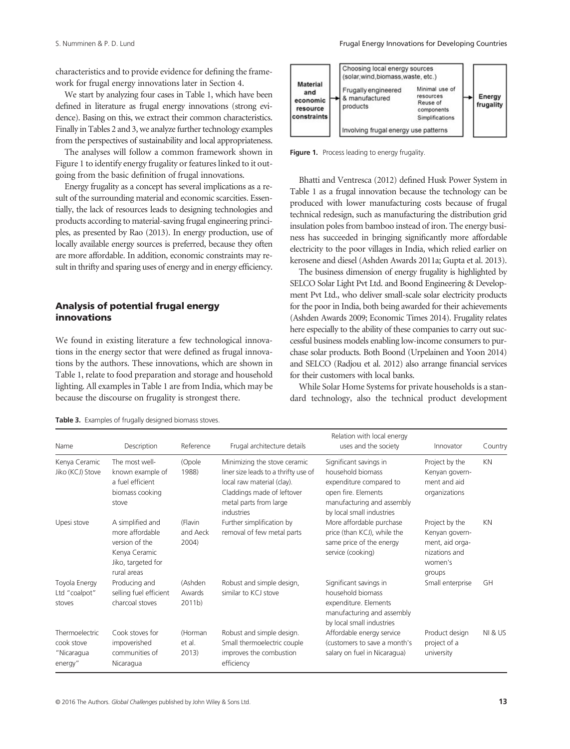characteristics and to provide evidence for defining the framework for frugal energy innovations later in Section 4.

We start by analyzing four cases in Table 1, which have been defined in literature as frugal energy innovations (strong evidence). Basing on this, we extract their common characteristics. Finally in Tables 2 and 3, we analyze further technology examples from the perspectives of sustainability and local appropriateness.

The analyses will follow a common framework shown in Figure 1 to identify energy frugality or features linked to it outgoing from the basic definition of frugal innovations.

Energy frugality as a concept has several implications as a result of the surrounding material and economic scarcities. Essentially, the lack of resources leads to designing technologies and products according to material-saving frugal engineering principles, as presented by Rao (2013). In energy production, use of locally available energy sources is preferred, because they often are more affordable. In addition, economic constraints may result in thrifty and sparing uses of energy and in energy efficiency.

## Analysis of potential frugal energy innovations

We found in existing literature a few technological innovations in the energy sector that were defined as frugal innovations by the authors. These innovations, which are shown in Table 1, relate to food preparation and storage and household lighting. All examples in Table 1 are from India, which may be because the discourse on frugality is strongest there.



Figure 1. Process leading to energy frugality.

Bhatti and Ventresca (2012) defined Husk Power System in Table 1 as a frugal innovation because the technology can be produced with lower manufacturing costs because of frugal technical redesign, such as manufacturing the distribution grid insulation poles from bamboo instead of iron. The energy business has succeeded in bringing significantly more affordable electricity to the poor villages in India, which relied earlier on kerosene and diesel (Ashden Awards 2011a; Gupta et al. 2013).

The business dimension of energy frugality is highlighted by SELCO Solar Light Pvt Ltd. and Boond Engineering & Development Pvt Ltd., who deliver small-scale solar electricity products for the poor in India, both being awarded for their achievements (Ashden Awards 2009; Economic Times 2014). Frugality relates here especially to the ability of these companies to carry out successful business models enabling low-income consumers to purchase solar products. Both Boond (Urpelainen and Yoon 2014) and SELCO (Radjou et al. 2012) also arrange financial services for their customers with local banks.

While Solar Home Systems for private households is a standard technology, also the technical product development

Table 3. Examples of frugally designed biomass stoves.

| Name                                                  | Description                                                                                                 | Reference                              | Frugal architecture details                                                                                                                                              | Relation with local energy<br>uses and the society                                                                                                       | Innovator                                                                                 | Country            |
|-------------------------------------------------------|-------------------------------------------------------------------------------------------------------------|----------------------------------------|--------------------------------------------------------------------------------------------------------------------------------------------------------------------------|----------------------------------------------------------------------------------------------------------------------------------------------------------|-------------------------------------------------------------------------------------------|--------------------|
| Kenya Ceramic<br>Jiko (KCJ) Stove                     | The most well-<br>known example of<br>a fuel efficient<br>biomass cooking<br>stove                          | (Opole<br>1988)                        | Minimizing the stove ceramic<br>liner size leads to a thrifty use of<br>local raw material (clay).<br>Claddings made of leftover<br>metal parts from large<br>industries | Significant savings in<br>household biomass<br>expenditure compared to<br>open fire. Elements<br>manufacturing and assembly<br>by local small industries | Project by the<br>Kenyan govern-<br>ment and aid<br>organizations                         | KN                 |
| Upesi stove                                           | A simplified and<br>more affordable<br>version of the<br>Kenya Ceramic<br>Jiko, targeted for<br>rural areas | (Flavin<br>and Aeck<br>2004)           | Further simplification by<br>removal of few metal parts                                                                                                                  | More affordable purchase<br>price (than KCJ), while the<br>same price of the energy<br>service (cooking)                                                 | Project by the<br>Kenyan govern-<br>ment, aid orga-<br>nizations and<br>women's<br>groups | KN                 |
| Toyola Energy<br>Ltd "coalpot"<br>stoves              | Producing and<br>selling fuel efficient<br>charcoal stoves                                                  | (Ashden<br>Awards<br>2011 <sub>b</sub> | Robust and simple design,<br>similar to KCJ stove                                                                                                                        | Significant savings in<br>Small enterprise<br>household biomass<br>expenditure. Elements<br>manufacturing and assembly<br>by local small industries      |                                                                                           | GH                 |
| Thermoelectric<br>cook stove<br>"Nicaragua<br>energy" | Cook stoves for<br>impoverished<br>communities of<br>Nicaragua                                              | (Horman<br>et al.<br>2013)             | Robust and simple design.<br>Small thermoelectric couple<br>improves the combustion<br>efficiency                                                                        | Affordable energy service<br>(customers to save a month's<br>salary on fuel in Nicaragua)                                                                | Product design<br>project of a<br>university                                              | <b>NI &amp; US</b> |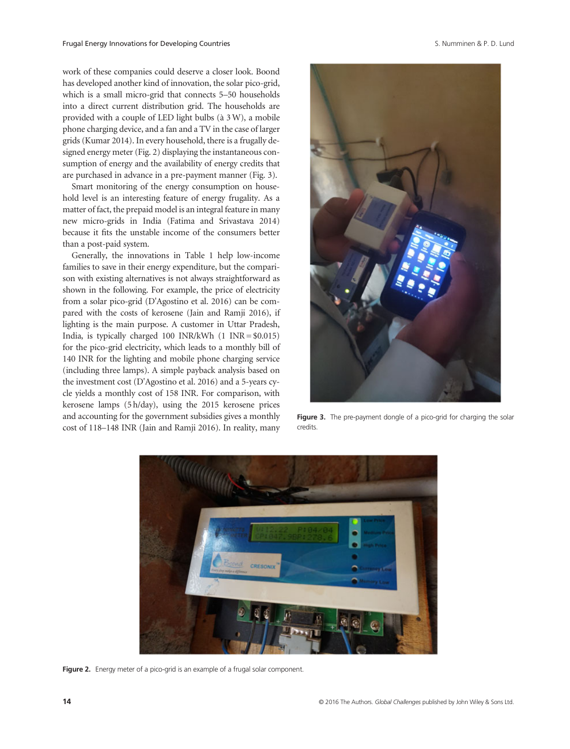work of these companies could deserve a closer look. Boond has developed another kind of innovation, the solar pico-grid, which is a small micro-grid that connects 5–50 households into a direct current distribution grid. The households are provided with a couple of LED light bulbs (à 3W), a mobile phone charging device, and a fan and a TV in the case of larger grids (Kumar 2014). In every household, there is a frugally designed energy meter (Fig. 2) displaying the instantaneous consumption of energy and the availability of energy credits that are purchased in advance in a pre-payment manner (Fig. 3).

Smart monitoring of the energy consumption on household level is an interesting feature of energy frugality. As a matter of fact, the prepaid model is an integral feature in many new micro-grids in India (Fatima and Srivastava 2014) because it fits the unstable income of the consumers better than a post-paid system.

Generally, the innovations in Table 1 help low-income families to save in their energy expenditure, but the comparison with existing alternatives is not always straightforward as shown in the following. For example, the price of electricity from a solar pico-grid (D'Agostino et al. 2016) can be compared with the costs of kerosene (Jain and Ramji 2016), if lighting is the main purpose. A customer in Uttar Pradesh, India, is typically charged 100 INR/kWh  $(1 \text{INR} = $0.015)$ for the pico-grid electricity, which leads to a monthly bill of 140 INR for the lighting and mobile phone charging service (including three lamps). A simple payback analysis based on the investment cost (D'Agostino et al. 2016) and a 5-years cycle yields a monthly cost of 158 INR. For comparison, with kerosene lamps (5 h/day), using the 2015 kerosene prices and accounting for the government subsidies gives a monthly cost of 118–148 INR (Jain and Ramji 2016). In reality, many



Figure 3. The pre-payment dongle of a pico-grid for charging the solar credits.



Figure 2. Energy meter of a pico-grid is an example of a frugal solar component.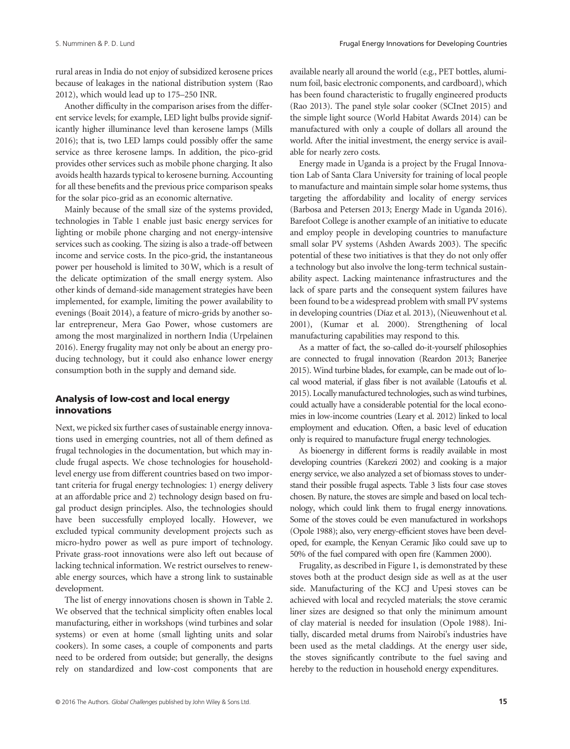rural areas in India do not enjoy of subsidized kerosene prices because of leakages in the national distribution system (Rao 2012), which would lead up to 175–250 INR.

Another difficulty in the comparison arises from the different service levels; for example, LED light bulbs provide significantly higher illuminance level than kerosene lamps (Mills 2016); that is, two LED lamps could possibly offer the same service as three kerosene lamps. In addition, the pico-grid provides other services such as mobile phone charging. It also avoids health hazards typical to kerosene burning. Accounting for all these benefits and the previous price comparison speaks for the solar pico-grid as an economic alternative.

Mainly because of the small size of the systems provided, technologies in Table 1 enable just basic energy services for lighting or mobile phone charging and not energy-intensive services such as cooking. The sizing is also a trade-off between income and service costs. In the pico-grid, the instantaneous power per household is limited to 30W, which is a result of the delicate optimization of the small energy system. Also other kinds of demand-side management strategies have been implemented, for example, limiting the power availability to evenings (Boait 2014), a feature of micro-grids by another solar entrepreneur, Mera Gao Power, whose customers are among the most marginalized in northern India (Urpelainen 2016). Energy frugality may not only be about an energy producing technology, but it could also enhance lower energy consumption both in the supply and demand side.

## Analysis of low-cost and local energy innovations

Next, we picked six further cases of sustainable energy innovations used in emerging countries, not all of them defined as frugal technologies in the documentation, but which may include frugal aspects. We chose technologies for householdlevel energy use from different countries based on two important criteria for frugal energy technologies: 1) energy delivery at an affordable price and 2) technology design based on frugal product design principles. Also, the technologies should have been successfully employed locally. However, we excluded typical community development projects such as micro-hydro power as well as pure import of technology. Private grass-root innovations were also left out because of lacking technical information. We restrict ourselves to renewable energy sources, which have a strong link to sustainable development.

The list of energy innovations chosen is shown in Table 2. We observed that the technical simplicity often enables local manufacturing, either in workshops (wind turbines and solar systems) or even at home (small lighting units and solar cookers). In some cases, a couple of components and parts need to be ordered from outside; but generally, the designs rely on standardized and low-cost components that are

available nearly all around the world (e.g., PET bottles, aluminum foil, basic electronic components, and cardboard), which has been found characteristic to frugally engineered products (Rao 2013). The panel style solar cooker (SCInet 2015) and the simple light source (World Habitat Awards 2014) can be manufactured with only a couple of dollars all around the world. After the initial investment, the energy service is available for nearly zero costs.

Energy made in Uganda is a project by the Frugal Innovation Lab of Santa Clara University for training of local people to manufacture and maintain simple solar home systems, thus targeting the affordability and locality of energy services (Barbosa and Petersen 2013; Energy Made in Uganda 2016). Barefoot College is another example of an initiative to educate and employ people in developing countries to manufacture small solar PV systems (Ashden Awards 2003). The specific potential of these two initiatives is that they do not only offer a technology but also involve the long-term technical sustainability aspect. Lacking maintenance infrastructures and the lack of spare parts and the consequent system failures have been found to be a widespread problem with small PV systems in developing countries (Díaz et al. 2013), (Nieuwenhout et al. 2001), (Kumar et al. 2000). Strengthening of local manufacturing capabilities may respond to this.

As a matter of fact, the so-called do-it-yourself philosophies are connected to frugal innovation (Reardon 2013; Banerjee 2015). Wind turbine blades, for example, can be made out of local wood material, if glass fiber is not available (Latoufis et al. 2015). Locally manufactured technologies, such as wind turbines, could actually have a considerable potential for the local economies in low-income countries (Leary et al. 2012) linked to local employment and education. Often, a basic level of education only is required to manufacture frugal energy technologies.

As bioenergy in different forms is readily available in most developing countries (Karekezi 2002) and cooking is a major energy service, we also analyzed a set of biomass stoves to understand their possible frugal aspects. Table 3 lists four case stoves chosen. By nature, the stoves are simple and based on local technology, which could link them to frugal energy innovations. Some of the stoves could be even manufactured in workshops (Opole 1988); also, very energy-efficient stoves have been developed, for example, the Kenyan Ceramic Jiko could save up to 50% of the fuel compared with open fire (Kammen 2000).

Frugality, as described in Figure 1, is demonstrated by these stoves both at the product design side as well as at the user side. Manufacturing of the KCJ and Upesi stoves can be achieved with local and recycled materials; the stove ceramic liner sizes are designed so that only the minimum amount of clay material is needed for insulation (Opole 1988). Initially, discarded metal drums from Nairobi's industries have been used as the metal claddings. At the energy user side, the stoves significantly contribute to the fuel saving and hereby to the reduction in household energy expenditures.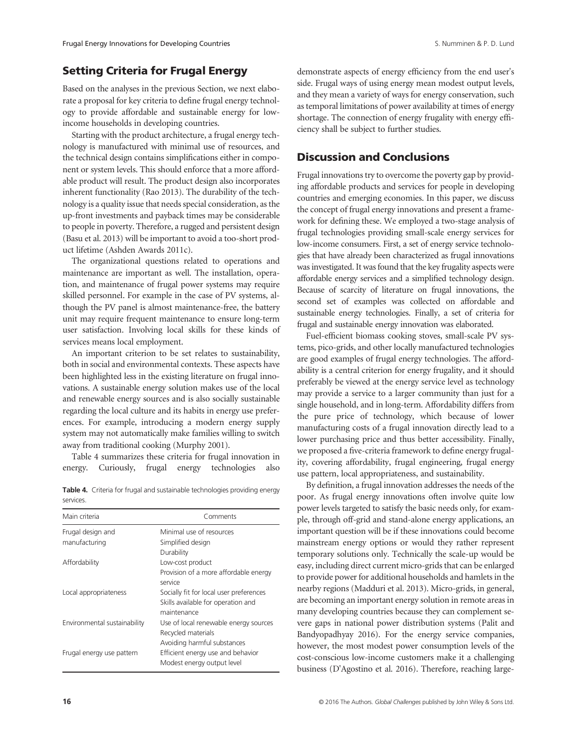## Setting Criteria for Frugal Energy

Based on the analyses in the previous Section, we next elaborate a proposal for key criteria to define frugal energy technology to provide affordable and sustainable energy for lowincome households in developing countries.

Starting with the product architecture, a frugal energy technology is manufactured with minimal use of resources, and the technical design contains simplifications either in component or system levels. This should enforce that a more affordable product will result. The product design also incorporates inherent functionality (Rao 2013). The durability of the technology is a quality issue that needs special consideration, as the up-front investments and payback times may be considerable to people in poverty. Therefore, a rugged and persistent design (Basu et al. 2013) will be important to avoid a too-short product lifetime (Ashden Awards 2011c).

The organizational questions related to operations and maintenance are important as well. The installation, operation, and maintenance of frugal power systems may require skilled personnel. For example in the case of PV systems, although the PV panel is almost maintenance-free, the battery unit may require frequent maintenance to ensure long-term user satisfaction. Involving local skills for these kinds of services means local employment.

An important criterion to be set relates to sustainability, both in social and environmental contexts. These aspects have been highlighted less in the existing literature on frugal innovations. A sustainable energy solution makes use of the local and renewable energy sources and is also socially sustainable regarding the local culture and its habits in energy use preferences. For example, introducing a modern energy supply system may not automatically make families willing to switch away from traditional cooking (Murphy 2001).

Table 4 summarizes these criteria for frugal innovation in energy. Curiously, frugal energy technologies also

Table 4. Criteria for frugal and sustainable technologies providing energy services.

| Comments                                |
|-----------------------------------------|
| Minimal use of resources                |
| Simplified design                       |
| Durability                              |
| Low-cost product                        |
| Provision of a more affordable energy   |
| service                                 |
| Socially fit for local user preferences |
| Skills available for operation and      |
| maintenance                             |
| Use of local renewable energy sources   |
| Recycled materials                      |
| Avoiding harmful substances             |
| Efficient energy use and behavior       |
| Modest energy output level              |
|                                         |

demonstrate aspects of energy efficiency from the end user's side. Frugal ways of using energy mean modest output levels, and they mean a variety of ways for energy conservation, such as temporal limitations of power availability at times of energy shortage. The connection of energy frugality with energy efficiency shall be subject to further studies.

## Discussion and Conclusions

Frugal innovations try to overcome the poverty gap by providing affordable products and services for people in developing countries and emerging economies. In this paper, we discuss the concept of frugal energy innovations and present a framework for defining these. We employed a two-stage analysis of frugal technologies providing small-scale energy services for low-income consumers. First, a set of energy service technologies that have already been characterized as frugal innovations was investigated. It was found that the key frugality aspects were affordable energy services and a simplified technology design. Because of scarcity of literature on frugal innovations, the second set of examples was collected on affordable and sustainable energy technologies. Finally, a set of criteria for frugal and sustainable energy innovation was elaborated.

Fuel-efficient biomass cooking stoves, small-scale PV systems, pico-grids, and other locally manufactured technologies are good examples of frugal energy technologies. The affordability is a central criterion for energy frugality, and it should preferably be viewed at the energy service level as technology may provide a service to a larger community than just for a single household, and in long-term. Affordability differs from the pure price of technology, which because of lower manufacturing costs of a frugal innovation directly lead to a lower purchasing price and thus better accessibility. Finally, we proposed a five-criteria framework to define energy frugality, covering affordability, frugal engineering, frugal energy use pattern, local appropriateness, and sustainability.

By definition, a frugal innovation addresses the needs of the poor. As frugal energy innovations often involve quite low power levels targeted to satisfy the basic needs only, for example, through off-grid and stand-alone energy applications, an important question will be if these innovations could become mainstream energy options or would they rather represent temporary solutions only. Technically the scale-up would be easy, including direct current micro-grids that can be enlarged to provide power for additional households and hamlets in the nearby regions (Madduri et al. 2013). Micro-grids, in general, are becoming an important energy solution in remote areas in many developing countries because they can complement severe gaps in national power distribution systems (Palit and Bandyopadhyay 2016). For the energy service companies, however, the most modest power consumption levels of the cost-conscious low-income customers make it a challenging business (D'Agostino et al. 2016). Therefore, reaching large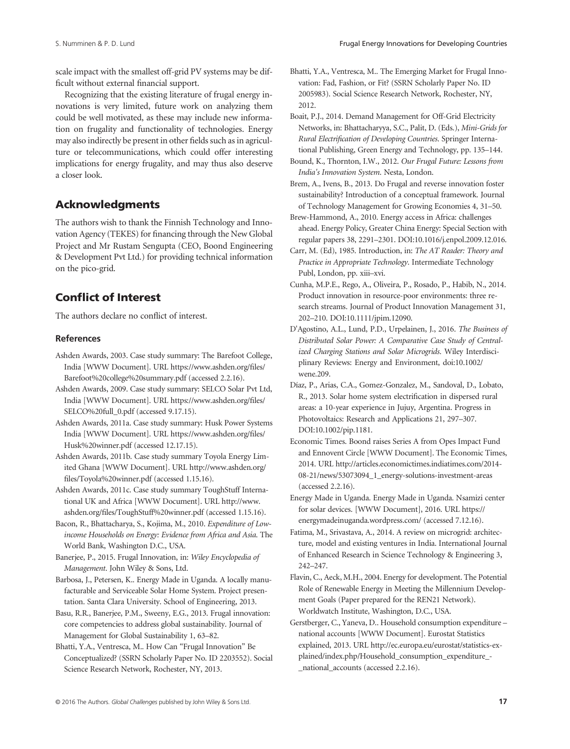scale impact with the smallest off-grid PV systems may be difficult without external financial support.

Recognizing that the existing literature of frugal energy innovations is very limited, future work on analyzing them could be well motivated, as these may include new information on frugality and functionality of technologies. Energy may also indirectly be present in other fields such as in agriculture or telecommunications, which could offer interesting implications for energy frugality, and may thus also deserve a closer look.

# Acknowledgments

The authors wish to thank the Finnish Technology and Innovation Agency (TEKES) for financing through the New Global Project and Mr Rustam Sengupta (CEO, Boond Engineering & Development Pvt Ltd.) for providing technical information on the pico-grid.

# Conflict of Interest

The authors declare no conflict of interest.

#### References

- Ashden Awards, 2003. Case study summary: The Barefoot College, India [WWW Document]. URL [https://www.ashden.org/](https://www.ashden.org/files/Barefoot%20college%20summary.pdf)files/ [Barefoot%20college%20summary.pdf](https://www.ashden.org/files/Barefoot%20college%20summary.pdf) (accessed 2.2.16).
- Ashden Awards, 2009. Case study summary: SELCO Solar Pvt Ltd, India [WWW Document]. URL [https://www.ashden.org/](https://www.ashden.org/files/SELCO%20full_0.pdf)files/ [SELCO%20full\\_0.pdf](https://www.ashden.org/files/SELCO%20full_0.pdf) (accessed 9.17.15).

Ashden Awards, 2011a. Case study summary: Husk Power Systems India [WWW Document]. URL [https://www.ashden.org/](https://www.ashden.org/files/Husk%20winner.pdf)files/ [Husk%20winner.pdf](https://www.ashden.org/files/Husk%20winner.pdf) (accessed 12.17.15).

- Ashden Awards, 2011b. Case study summary Toyola Energy Limited Ghana [WWW Document]. URL [http://www.ashden.org/](http://www.ashden.org/files/Toyola%20winner.pdf) fi[les/Toyola%20winner.pdf](http://www.ashden.org/files/Toyola%20winner.pdf) (accessed 1.15.16).
- Ashden Awards, 2011c. Case study summary ToughStuff International UK and Africa [WWW Document]. URL [http://www.](http://www.ashden.org/files/ToughStuff%20winner.pdf) ashden.org/fi[les/ToughStuff%20winner.pdf](http://www.ashden.org/files/ToughStuff%20winner.pdf) (accessed 1.15.16).

Bacon, R., Bhattacharya, S., Kojima, M., 2010. Expenditure of Lowincome Households on Energy: Evidence from Africa and Asia. The World Bank, Washington D.C., USA.

Banerjee, P., 2015. Frugal Innovation, in: Wiley Encyclopedia of Management. John Wiley & Sons, Ltd.

- Barbosa, J., Petersen, K.. Energy Made in Uganda. A locally manufacturable and Serviceable Solar Home System. Project presentation. Santa Clara University. School of Engineering, 2013.
- Basu, R.R., Banerjee, P.M., Sweeny, E.G., 2013. Frugal innovation: core competencies to address global sustainability. Journal of Management for Global Sustainability 1, 63–82.

Bhatti, Y.A., Ventresca, M.. How Can "Frugal Innovation" Be Conceptualized? (SSRN Scholarly Paper No. ID 2203552). Social Science Research Network, Rochester, NY, 2013.

Bhatti, Y.A., Ventresca, M.. The Emerging Market for Frugal Innovation: Fad, Fashion, or Fit? (SSRN Scholarly Paper No. ID 2005983). Social Science Research Network, Rochester, NY, 2012.

Boait, P.J., 2014. Demand Management for Off-Grid Electricity Networks, in: Bhattacharyya, S.C., Palit, D. (Eds.), Mini-Grids for Rural Electrification of Developing Countries. Springer International Publishing, Green Energy and Technology, pp. 135–144.

- Bound, K., Thornton, I.W., 2012. Our Frugal Future: Lessons from India's Innovation System. Nesta, London.
- Brem, A., Ivens, B., 2013. Do Frugal and reverse innovation foster sustainability? Introduction of a conceptual framework. Journal of Technology Management for Growing Economies 4, 31–50.
- Brew-Hammond, A., 2010. Energy access in Africa: challenges ahead. Energy Policy, Greater China Energy: Special Section with regular papers 38, 2291–2301. DOI[:10.1016/j.enpol.2009.12.016.](http://dx.doi.org/10.1016/j.enpol.2009.12.016)
- Carr, M. (Ed), 1985. Introduction, in: The AT Reader: Theory and Practice in Appropriate Technology. Intermediate Technology Publ, London, pp. xiii–xvi.
- Cunha, M.P.E., Rego, A., Oliveira, P., Rosado, P., Habib, N., 2014. Product innovation in resource-poor environments: three research streams. Journal of Product Innovation Management 31, 202–210. DOI[:10.1111/jpim.12090.](http://dx.doi.org/10.1111/jpim.12090)
- D'Agostino, A.L., Lund, P.D., Urpelainen, J., 2016. The Business of Distributed Solar Power: A Comparative Case Study of Centralized Charging Stations and Solar Microgrids. Wiley Interdisciplinary Reviews: Energy and Environment, doi:[10.1002/](http://dx.doi.org/10.1002/wene.209) [wene.209.](http://dx.doi.org/10.1002/wene.209)
- Díaz, P., Arias, C.A., Gomez-Gonzalez, M., Sandoval, D., Lobato, R., 2013. Solar home system electrification in dispersed rural areas: a 10-year experience in Jujuy, Argentina. Progress in Photovoltaics: Research and Applications 21, 297–307. DOI[:10.1002/pip.1181.](http://dx.doi.org/10.1002/pip.1181)
- Economic Times. Boond raises Series A from Opes Impact Fund and Ennovent Circle [WWW Document]. The Economic Times, 2014. URL [http://articles.economictimes.indiatimes.com/2014-](http://articles.economictimes.indiatimes.com/2014-08-21/news/53073094_1_energy-solutions-investment-areas) [08-21/news/53073094\\_1\\_energy-solutions-investment-areas](http://articles.economictimes.indiatimes.com/2014-08-21/news/53073094_1_energy-solutions-investment-areas) (accessed 2.2.16).
- Energy Made in Uganda. Energy Made in Uganda. Nsamizi center for solar devices. [WWW Document], 2016. URL [https://](https://energymadeinuganda.wordpress.com) [energymadeinuganda.wordpress.com/](https://energymadeinuganda.wordpress.com) (accessed 7.12.16).
- Fatima, M., Srivastava, A., 2014. A review on microgrid: architecture, model and existing ventures in India. International Journal of Enhanced Research in Science Technology & Engineering 3, 242–247.
- Flavin, C., Aeck, M.H., 2004. Energy for development. The Potential Role of Renewable Energy in Meeting the Millennium Development Goals (Paper prepared for the REN21 Network). Worldwatch Institute, Washington, D.C., USA.
- Gerstberger, C., Yaneva, D.. Household consumption expenditure national accounts [WWW Document]. Eurostat Statistics explained, 2013. URL [http://ec.europa.eu/eurostat/statistics-ex](http://ec.europa.eu/eurostat/statistics-explained/index.php/Household_consumption_expenditure_-_national_accounts)[plained/index.php/Household\\_consumption\\_expenditure\\_-](http://ec.europa.eu/eurostat/statistics-explained/index.php/Household_consumption_expenditure_-_national_accounts) [\\_national\\_accounts](http://ec.europa.eu/eurostat/statistics-explained/index.php/Household_consumption_expenditure_-_national_accounts) (accessed 2.2.16).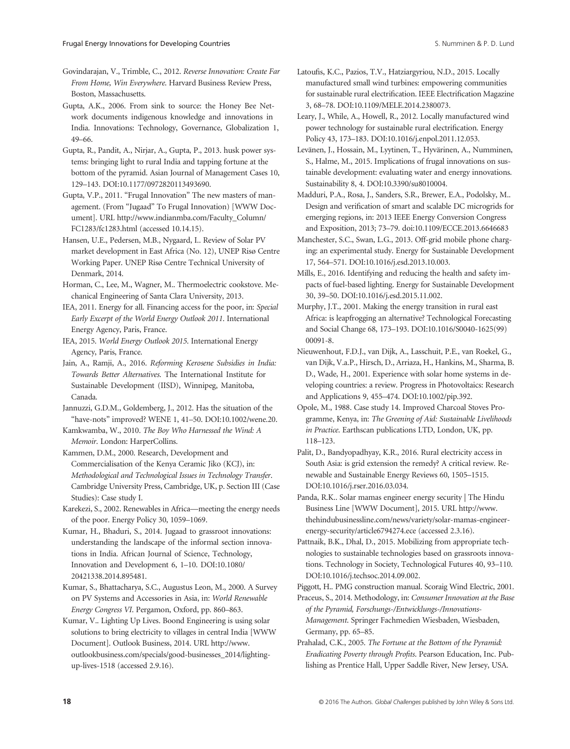Govindarajan, V., Trimble, C., 2012. Reverse Innovation: Create Far From Home, Win Everywhere. Harvard Business Review Press, Boston, Massachusetts.

Gupta, A.K., 2006. From sink to source: the Honey Bee Network documents indigenous knowledge and innovations in India. Innovations: Technology, Governance, Globalization 1, 49–66.

Gupta, R., Pandit, A., Nirjar, A., Gupta, P., 2013. husk power systems: bringing light to rural India and tapping fortune at the bottom of the pyramid. Asian Journal of Management Cases 10, 129–143. DOI:[10.1177/0972820113493690.](http://dx.doi.org/10.1177/0972820113493690)

Gupta, V.P., 2011. "Frugal Innovation" The new masters of management. (From "Jugaad" To Frugal Innovation) [WWW Document]. URL [http://www.indianmba.com/Faculty\\_Column/](http://www.indianmba.com/Faculty_Column/FC1283/fc1283.html) [FC1283/fc1283.html](http://www.indianmba.com/Faculty_Column/FC1283/fc1283.html) (accessed 10.14.15).

Hansen, U.E., Pedersen, M.B., Nygaard, I.. Review of Solar PV market development in East Africa (No. 12), UNEP Risø Centre Working Paper. UNEP Risø Centre Technical University of Denmark, 2014.

Horman, C., Lee, M., Wagner, M.. Thermoelectric cookstove. Mechanical Engineering of Santa Clara University, 2013.

IEA, 2011. Energy for all. Financing access for the poor, in: Special Early Excerpt of the World Energy Outlook 2011. International Energy Agency, Paris, France.

IEA, 2015. World Energy Outlook 2015. International Energy Agency, Paris, France.

Jain, A., Ramji, A., 2016. Reforming Kerosene Subsidies in India: Towards Better Alternatives. The International Institute for Sustainable Development (IISD), Winnipeg, Manitoba, Canada.

Jannuzzi, G.D.M., Goldemberg, J., 2012. Has the situation of the "have-nots" improved? WENE 1, 41–50. DOI[:10.1002/wene.20.](http://dx.doi.org/10.1002/wene.20)

Kamkwamba, W., 2010. The Boy Who Harnessed the Wind: A Memoir. London: HarperCollins.

Kammen, D.M., 2000. Research, Development and Commercialisation of the Kenya Ceramic Jiko (KCJ), in: Methodological and Technological Issues in Technology Transfer. Cambridge University Press, Cambridge, UK, p. Section III (Case Studies): Case study I.

Karekezi, S., 2002. Renewables in Africa—meeting the energy needs of the poor. Energy Policy 30, 1059–1069.

Kumar, H., Bhaduri, S., 2014. Jugaad to grassroot innovations: understanding the landscape of the informal section innovations in India. African Journal of Science, Technology, Innovation and Development 6, 1–10. DOI[:10.1080/](http://dx.doi.org/10.1080/20421338.2014.895481) [20421338.2014.895481.](http://dx.doi.org/10.1080/20421338.2014.895481)

Kumar, S., Bhattacharya, S.C., Augustus Leon, M., 2000. A Survey on PV Systems and Accessories in Asia, in: World Renewable Energy Congress VI. Pergamon, Oxford, pp. 860–863.

Kumar, V.. Lighting Up Lives. Boond Engineering is using solar solutions to bring electricity to villages in central India [WWW Document]. Outlook Business, 2014. URL [http://www.](http://www.outlookbusiness.com/specials/good-businesses_2014/lighting-up-lives-1518) [outlookbusiness.com/specials/good-businesses\\_2014/lighting](http://www.outlookbusiness.com/specials/good-businesses_2014/lighting-up-lives-1518)[up-lives-1518](http://www.outlookbusiness.com/specials/good-businesses_2014/lighting-up-lives-1518) (accessed 2.9.16).

Latoufis, K.C., Pazios, T.V., Hatziargyriou, N.D., 2015. Locally manufactured small wind turbines: empowering communities for sustainable rural electrification. IEEE Electrification Magazine 3, 68–78. DOI[:10.1109/MELE.2014.2380073.](http://dx.doi.org/10.1109/MELE.2014.2380073)

Leary, J., While, A., Howell, R., 2012. Locally manufactured wind power technology for sustainable rural electrification. Energy Policy 43, 173–183. DOI[:10.1016/j.enpol.2011.12.053.](http://dx.doi.org/10.1016/j.enpol.2011.12.053)

Levänen, J., Hossain, M., Lyytinen, T., Hyvärinen, A., Numminen, S., Halme, M., 2015. Implications of frugal innovations on sustainable development: evaluating water and energy innovations. Sustainability 8, 4. DOI:[10.3390/su8010004.](http://dx.doi.org/10.3390/su8010004)

Madduri, P.A., Rosa, J., Sanders, S.R., Brewer, E.A., Podolsky, M.. Design and verification of smart and scalable DC microgrids for emerging regions, in: 2013 IEEE Energy Conversion Congress and Exposition, 2013; 73–79. doi[:10.1109/ECCE.2013.6646683](http://dx.doi.org/10.1109/ECCE.2013.6646683)

Manchester, S.C., Swan, L.G., 2013. Off-grid mobile phone charging: an experimental study. Energy for Sustainable Development 17, 564–571. DOI[:10.1016/j.esd.2013.10.003.](http://dx.doi.org/10.1016/j.esd.2013.10.003)

Mills, E., 2016. Identifying and reducing the health and safety impacts of fuel-based lighting. Energy for Sustainable Development 30, 39–50. DOI[:10.1016/j.esd.2015.11.002.](http://dx.doi.org/10.1016/j.esd.2015.11.002)

Murphy, J.T., 2001. Making the energy transition in rural east Africa: is leapfrogging an alternative? Technological Forecasting and Social Change 68, 173–193. DOI[:10.1016/S0040-1625\(99\)](http://dx.doi.org/10.1016/S0040-1625(99)00091-8) [00091-8.](http://dx.doi.org/10.1016/S0040-1625(99)00091-8)

Nieuwenhout, F.D.J., van Dijk, A., Lasschuit, P.E., van Roekel, G., van Dijk, V.a.P., Hirsch, D., Arriaza, H., Hankins, M., Sharma, B. D., Wade, H., 2001. Experience with solar home systems in developing countries: a review. Progress in Photovoltaics: Research and Applications 9, 455–474. DOI:[10.1002/pip.392.](http://dx.doi.org/10.1002/pip.392)

Opole, M., 1988. Case study 14. Improved Charcoal Stoves Programme, Kenya, in: The Greening of Aid: Sustainable Livelihoods in Practice. Earthscan publications LTD, London, UK, pp. 118–123.

Palit, D., Bandyopadhyay, K.R., 2016. Rural electricity access in South Asia: is grid extension the remedy? A critical review. Renewable and Sustainable Energy Reviews 60, 1505–1515. DOI:[10.1016/j.rser.2016.03.034.](http://dx.doi.org/10.1016/j.rser.2016.03.034)

Panda, R.K.. Solar mamas engineer energy security | The Hindu Business Line [WWW Document], 2015. URL [http://www.](http://www.thehindubusinessline.com/news/variety/solar-mamas-engineer-energy-security/article6794274.ece) [thehindubusinessline.com/news/variety/solar-mamas-engineer](http://www.thehindubusinessline.com/news/variety/solar-mamas-engineer-energy-security/article6794274.ece)[energy-security/article6794274.ece](http://www.thehindubusinessline.com/news/variety/solar-mamas-engineer-energy-security/article6794274.ece) (accessed 2.3.16).

Pattnaik, B.K., Dhal, D., 2015. Mobilizing from appropriate technologies to sustainable technologies based on grassroots innovations. Technology in Society, Technological Futures 40, 93–110. DOI:[10.1016/j.techsoc.2014.09.002.](http://dx.doi.org/10.1016/j.techsoc.2014.09.002)

Piggott, H.. PMG construction manual. Scoraig Wind Electric, 2001.

Praceus, S., 2014. Methodology, in: Consumer Innovation at the Base of the Pyramid, Forschungs-/Entwicklungs-/Innovations-Management. Springer Fachmedien Wiesbaden, Wiesbaden, Germany, pp. 65–85.

Prahalad, C.K., 2005. The Fortune at the Bottom of the Pyramid: Eradicating Poverty through Profits. Pearson Education, Inc. Publishing as Prentice Hall, Upper Saddle River, New Jersey, USA.